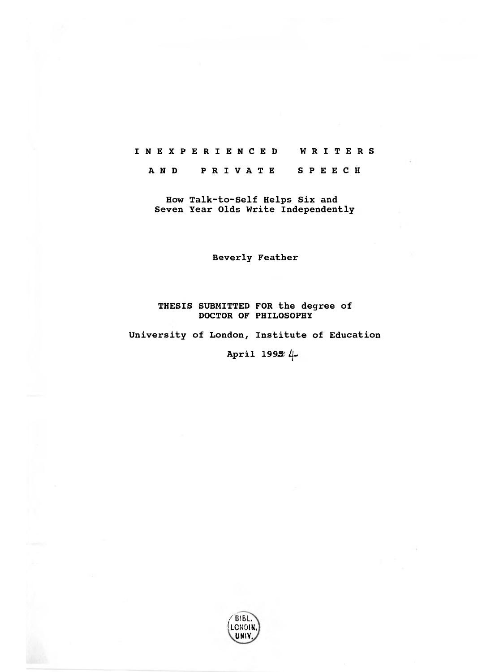## **INEXPERIENCED WRITERS**

**A N D PRIVATE SPEECH** 

**How Talk-to-Self Helps Six and Seven Year Olds Write Independently** 

**Beverly Feather** 

## **THESIS SUBMITTED FOR the degree of DOCTOR OF PHILOSOPHY**

**University of London, Institute of Education** 

**April 1993e4.**